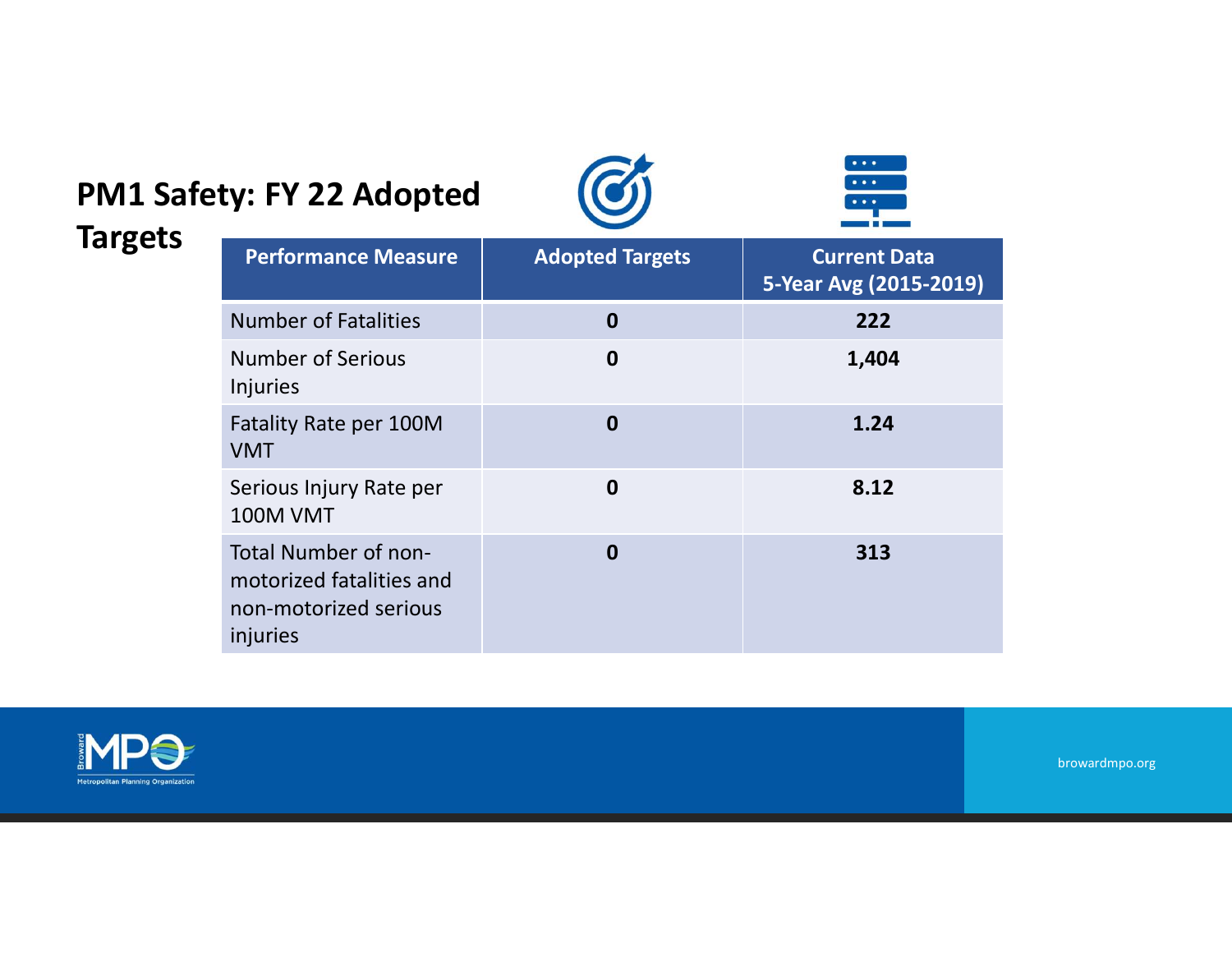## PM1 Safety: FY 22 Adopted





browardmpo.org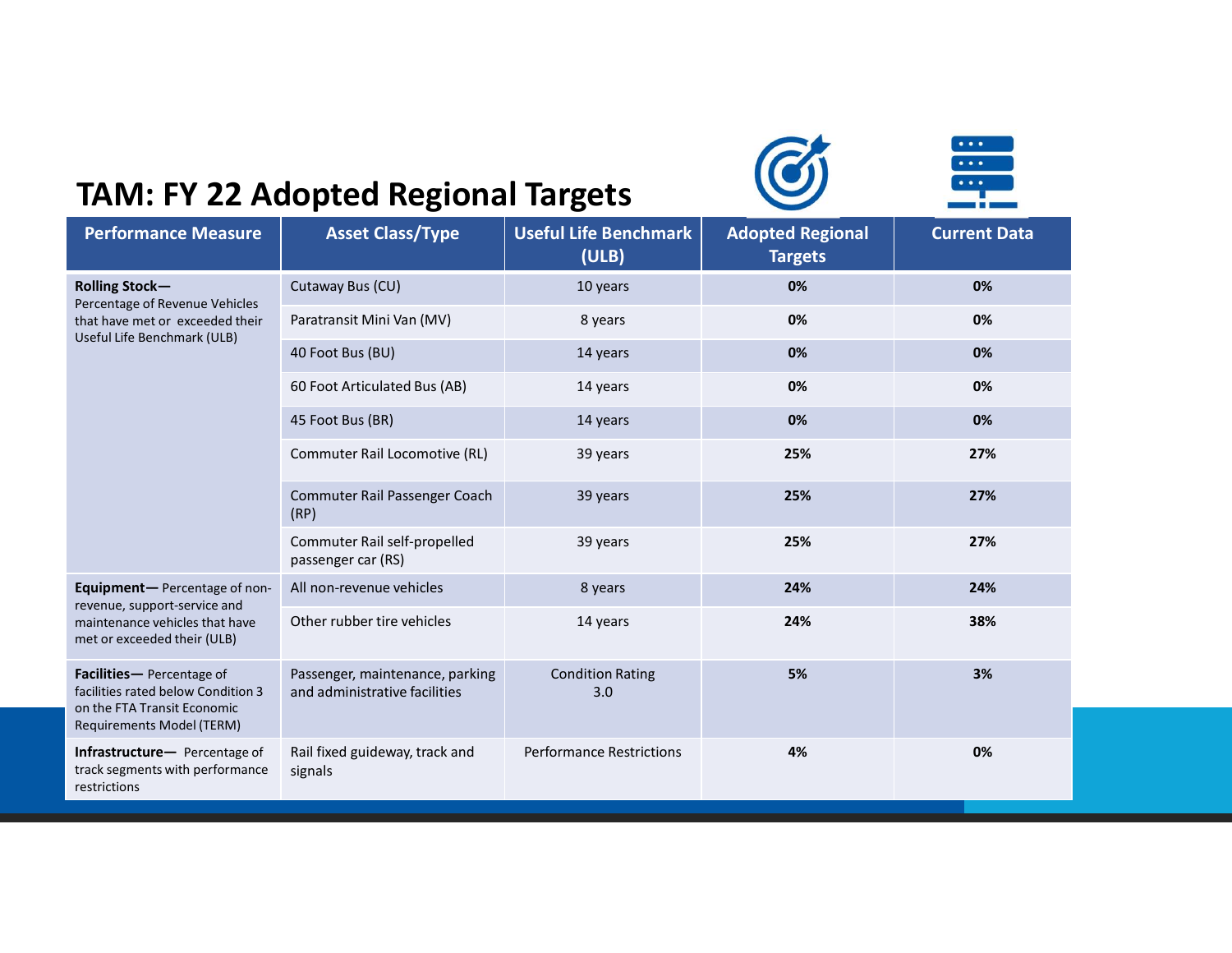





|                                                                                                                                   | <b>TAM: FY 22 Adopted Regional Targets</b>                       |                                       |                                           | $\bullet$ $\bullet$ $\bullet$ .<br>$\bullet \bullet \bullet$<br>$\bullet\bullet\bullet$ |  |
|-----------------------------------------------------------------------------------------------------------------------------------|------------------------------------------------------------------|---------------------------------------|-------------------------------------------|-----------------------------------------------------------------------------------------|--|
| <b>Performance Measure</b>                                                                                                        | <b>Asset Class/Type</b>                                          | <b>Useful Life Benchmark</b><br>(ULB) | <b>Adopted Regional</b><br><b>Targets</b> | <b>Current Data</b>                                                                     |  |
| <b>Rolling Stock-</b>                                                                                                             | Cutaway Bus (CU)                                                 | 10 years                              | 0%                                        | 0%                                                                                      |  |
| Percentage of Revenue Vehicles<br>that have met or exceeded their                                                                 | Paratransit Mini Van (MV)                                        | 8 years                               | 0%                                        | 0%                                                                                      |  |
| Useful Life Benchmark (ULB)                                                                                                       | 40 Foot Bus (BU)                                                 | 14 years                              | 0%                                        | 0%                                                                                      |  |
|                                                                                                                                   | 60 Foot Articulated Bus (AB)                                     | 14 years                              | 0%                                        | 0%                                                                                      |  |
|                                                                                                                                   | 45 Foot Bus (BR)                                                 | 14 years                              | 0%                                        | 0%                                                                                      |  |
|                                                                                                                                   | Commuter Rail Locomotive (RL)                                    | 39 years                              | 25%                                       | 27%                                                                                     |  |
|                                                                                                                                   | Commuter Rail Passenger Coach<br>(RP)                            | 39 years                              | 25%                                       | 27%                                                                                     |  |
|                                                                                                                                   | Commuter Rail self-propelled<br>passenger car (RS)               | 39 years                              | 25%                                       | 27%                                                                                     |  |
| Equipment-Percentage of non-<br>revenue, support-service and                                                                      | All non-revenue vehicles                                         | 8 years                               | 24%                                       | 24%                                                                                     |  |
| maintenance vehicles that have<br>met or exceeded their (ULB)                                                                     | Other rubber tire vehicles                                       | 14 years                              | 24%                                       | 38%                                                                                     |  |
| Facilities-Percentage of<br>facilities rated below Condition 3<br>on the FTA Transit Economic<br><b>Requirements Model (TERM)</b> | Passenger, maintenance, parking<br>and administrative facilities | <b>Condition Rating</b><br>3.0        | 5%                                        | 3%                                                                                      |  |
| Infrastructure- Percentage of<br>track segments with performance                                                                  | Rail fixed guideway, track and<br>signals                        | <b>Performance Restrictions</b>       | 4%                                        | 0%                                                                                      |  |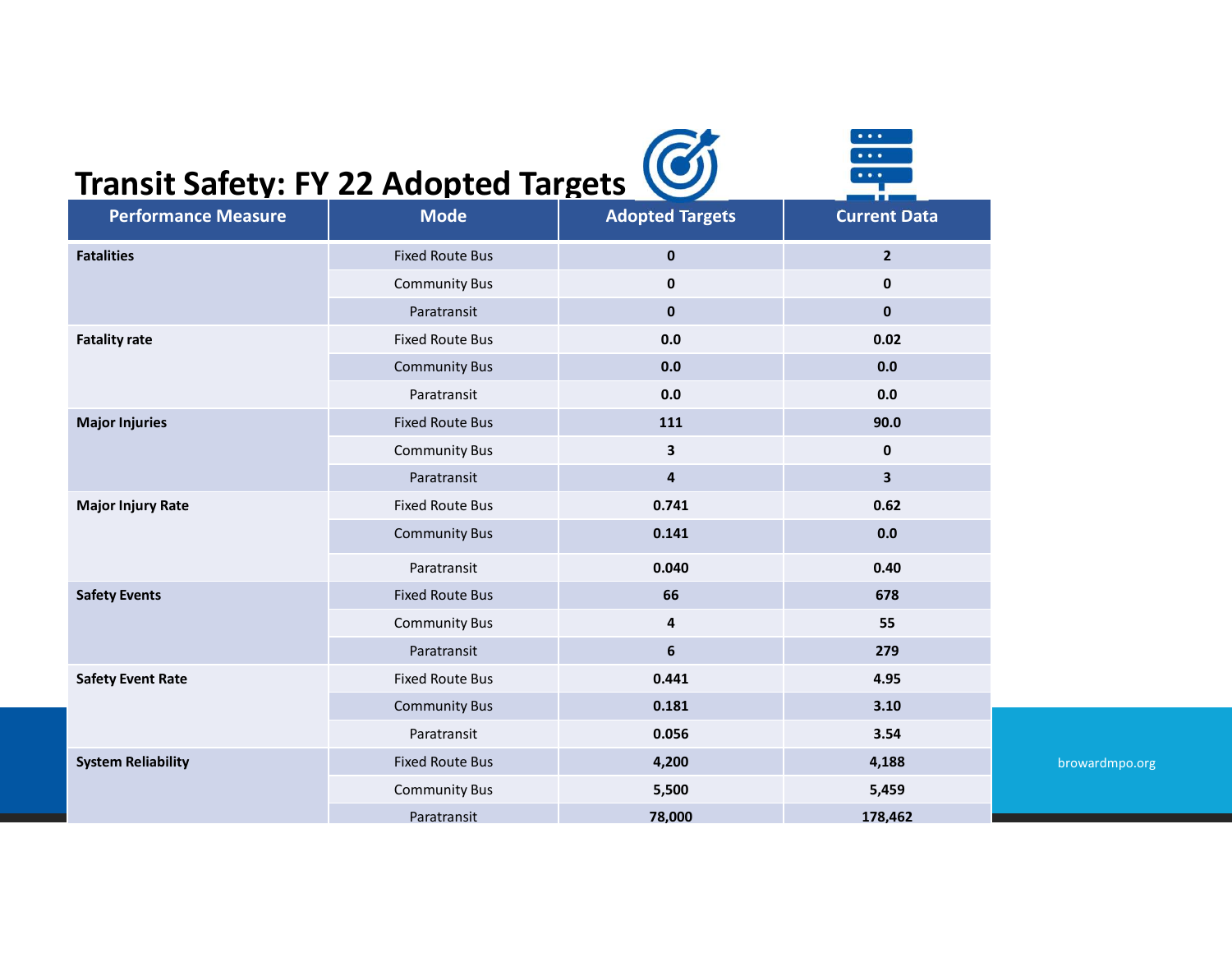## Transit Safety: FY 22 Adopted Targets

|                                              |                        |                         | $\bullet$ $\bullet$ $\bullet$ .<br>$\bullet$ $\bullet$ $\bullet$ |                |
|----------------------------------------------|------------------------|-------------------------|------------------------------------------------------------------|----------------|
|                                              |                        |                         | $\bullet\bullet\bullet$                                          |                |
| <b>Transit Safety: FY 22 Adopted Targets</b> |                        |                         |                                                                  |                |
| <b>Performance Measure</b>                   | <b>Mode</b>            | <b>Adopted Targets</b>  | <b>Current Data</b>                                              |                |
| <b>Fatalities</b>                            | <b>Fixed Route Bus</b> | $\mathbf{0}$            | $2^{\circ}$                                                      |                |
|                                              | <b>Community Bus</b>   | $\mathbf 0$             | $\mathbf 0$                                                      |                |
|                                              | Paratransit            | $\mathbf 0$             | $\mathbf 0$                                                      |                |
| <b>Fatality rate</b>                         | <b>Fixed Route Bus</b> | 0.0                     | 0.02                                                             |                |
|                                              | <b>Community Bus</b>   | 0.0                     | 0.0                                                              |                |
|                                              | Paratransit            | 0.0                     | 0.0                                                              |                |
| <b>Major Injuries</b>                        | <b>Fixed Route Bus</b> | 111                     | 90.0                                                             |                |
|                                              | <b>Community Bus</b>   | $\mathbf{3}$            | $\mathbf 0$                                                      |                |
|                                              | Paratransit            | $\overline{\mathbf{4}}$ | $\mathbf{3}$                                                     |                |
| <b>Major Injury Rate</b>                     | <b>Fixed Route Bus</b> | 0.741                   | 0.62                                                             |                |
|                                              | <b>Community Bus</b>   | 0.141                   | $0.0\,$                                                          |                |
|                                              | Paratransit            | 0.040                   | 0.40                                                             |                |
| <b>Safety Events</b>                         | <b>Fixed Route Bus</b> | 66                      | 678                                                              |                |
|                                              | <b>Community Bus</b>   | $\overline{\mathbf{4}}$ | 55                                                               |                |
|                                              | Paratransit            | $6\phantom{.}$          | 279                                                              |                |
| <b>Safety Event Rate</b>                     | Fixed Route Bus        | 0.441                   | 4.95                                                             |                |
|                                              | <b>Community Bus</b>   | 0.181                   | 3.10                                                             |                |
|                                              | Paratransit            | 0.056                   | 3.54                                                             |                |
| <b>System Reliability</b>                    | <b>Fixed Route Bus</b> | 4,200                   | 4,188                                                            | browardmpo.org |
|                                              | <b>Community Bus</b>   | 5,500                   | 5,459                                                            |                |
|                                              |                        |                         |                                                                  |                |